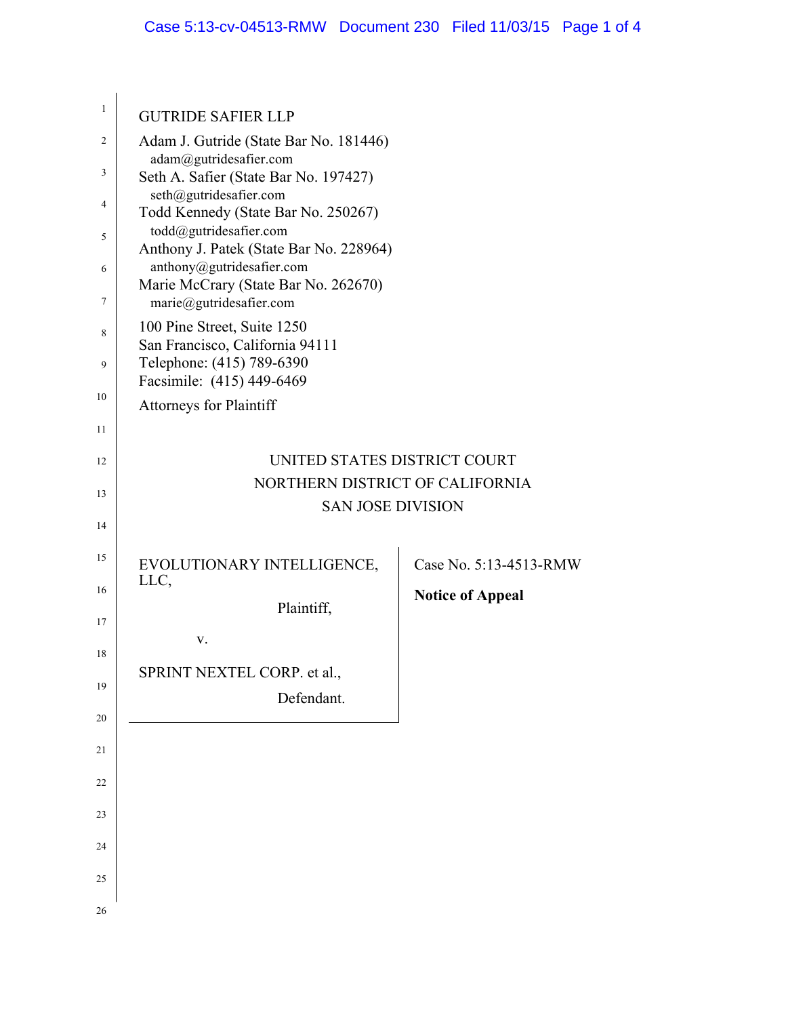| 1  | <b>GUTRIDE SAFIER LLP</b>                                         |                         |  |  |
|----|-------------------------------------------------------------------|-------------------------|--|--|
| 2  | Adam J. Gutride (State Bar No. 181446)                            |                         |  |  |
| 3  | adam@gutridesafier.com<br>Seth A. Safier (State Bar No. 197427)   |                         |  |  |
| 4  | seth@gutridesafier.com                                            |                         |  |  |
| 5  | Todd Kennedy (State Bar No. 250267)<br>todd@gutridesafier.com     |                         |  |  |
|    | Anthony J. Patek (State Bar No. 228964)                           |                         |  |  |
| 6  | anthony@gutridesafier.com<br>Marie McCrary (State Bar No. 262670) |                         |  |  |
| 7  | marie@gutridesafier.com                                           |                         |  |  |
| 8  | 100 Pine Street, Suite 1250<br>San Francisco, California 94111    |                         |  |  |
| 9  | Telephone: (415) 789-6390                                         |                         |  |  |
| 10 | Facsimile: (415) 449-6469                                         |                         |  |  |
|    | <b>Attorneys for Plaintiff</b>                                    |                         |  |  |
| 11 |                                                                   |                         |  |  |
| 12 | UNITED STATES DISTRICT COURT<br>NORTHERN DISTRICT OF CALIFORNIA   |                         |  |  |
| 13 | <b>SAN JOSE DIVISION</b>                                          |                         |  |  |
| 14 |                                                                   |                         |  |  |
| 15 | EVOLUTIONARY INTELLIGENCE,                                        | Case No. 5:13-4513-RMW  |  |  |
| 16 | LLC,                                                              | <b>Notice of Appeal</b> |  |  |
| 17 | Plaintiff,                                                        |                         |  |  |
|    | V.                                                                |                         |  |  |
| 18 | SPRINT NEXTEL CORP. et al.,                                       |                         |  |  |
| 19 | Defendant.                                                        |                         |  |  |
| 20 |                                                                   |                         |  |  |
| 21 |                                                                   |                         |  |  |
| 22 |                                                                   |                         |  |  |
| 23 |                                                                   |                         |  |  |
| 24 |                                                                   |                         |  |  |
| 25 |                                                                   |                         |  |  |
|    |                                                                   |                         |  |  |
| 26 |                                                                   |                         |  |  |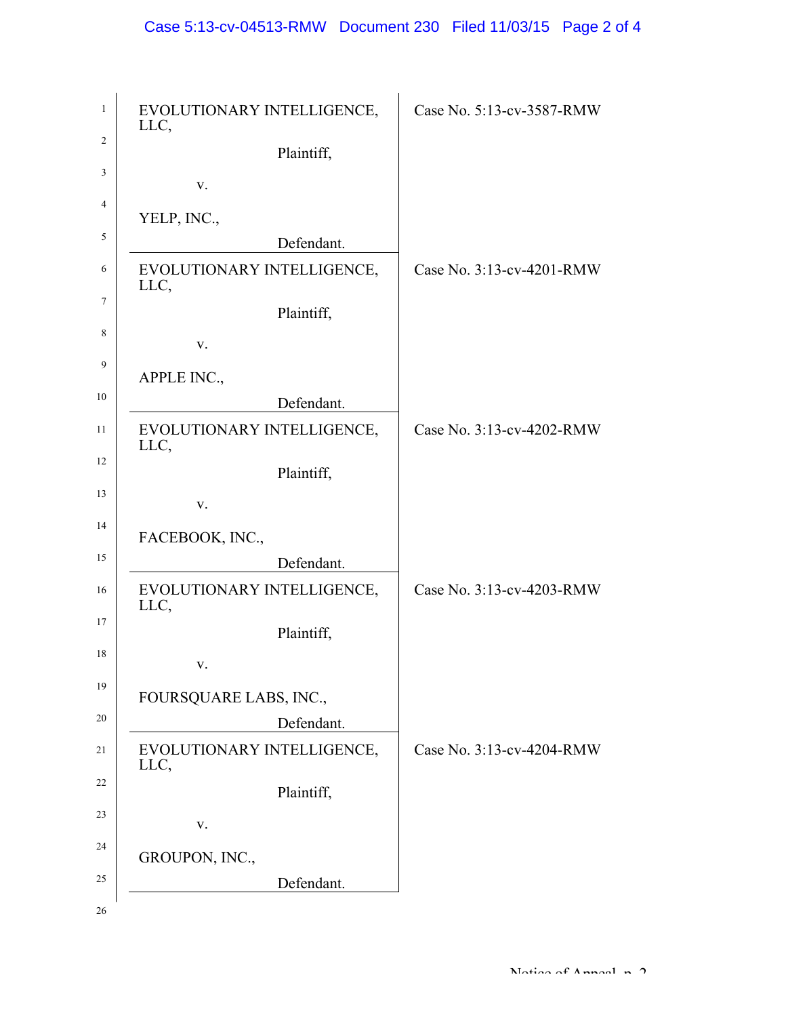| $\mathbf{1}$   | EVOLUTIONARY INTELLIGENCE,<br>LLC, | Case No. 5:13-cv-3587-RMW |
|----------------|------------------------------------|---------------------------|
| 2              | Plaintiff,                         |                           |
| 3              | V.                                 |                           |
| $\overline{4}$ | YELP, INC.,                        |                           |
| 5              | Defendant.                         |                           |
| 6              | EVOLUTIONARY INTELLIGENCE,<br>LLC, | Case No. 3:13-cv-4201-RMW |
| 7              | Plaintiff,                         |                           |
| 8              | V.                                 |                           |
| 9              | APPLE INC.,                        |                           |
| 10             | Defendant.                         |                           |
| 11             | EVOLUTIONARY INTELLIGENCE,<br>LLC, | Case No. 3:13-cv-4202-RMW |
| 12             | Plaintiff,                         |                           |
| 13             | V.                                 |                           |
| 14             | FACEBOOK, INC.,                    |                           |
| 15             | Defendant.                         |                           |
| 16             | EVOLUTIONARY INTELLIGENCE,<br>LLC, | Case No. 3:13-cv-4203-RMW |
| 17             | Plaintiff,                         |                           |
| 18             | V.                                 |                           |
| 19             | FOURSQUARE LABS, INC.,             |                           |
| 20             | Defendant.                         |                           |
| 21             | EVOLUTIONARY INTELLIGENCE,<br>LLC, | Case No. 3:13-cv-4204-RMW |
| 22             | Plaintiff,                         |                           |
| 23             | V.                                 |                           |
| 24             | GROUPON, INC.,                     |                           |
| 25             | Defendant.                         |                           |
| 26             |                                    |                           |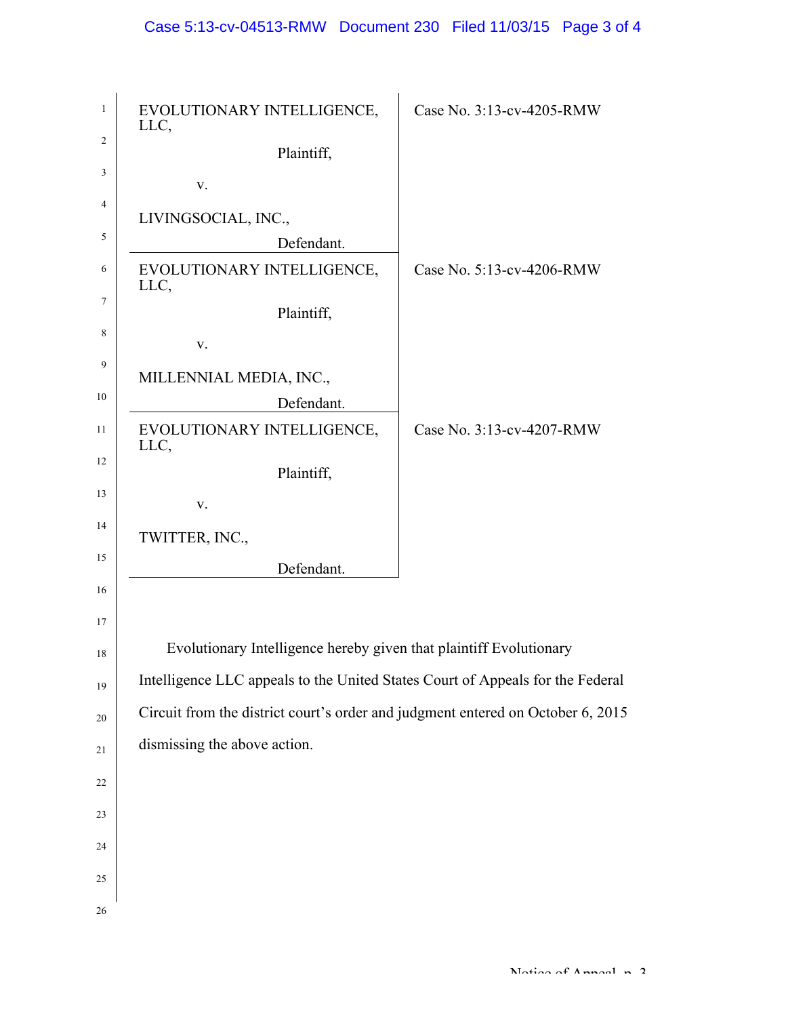| $\mathbf{1}$   | EVOLUTIONARY INTELLIGENCE,<br>LLC,                                              | Case No. 3:13-cv-4205-RMW |
|----------------|---------------------------------------------------------------------------------|---------------------------|
| 2              | Plaintiff,                                                                      |                           |
| 3              | V.                                                                              |                           |
| $\overline{4}$ | LIVINGSOCIAL, INC.,                                                             |                           |
| 5              | Defendant.                                                                      |                           |
| 6              | EVOLUTIONARY INTELLIGENCE,<br>LLC,                                              | Case No. 5:13-cv-4206-RMW |
| 7              | Plaintiff,                                                                      |                           |
| 8              | V.                                                                              |                           |
| 9              | MILLENNIAL MEDIA, INC.,                                                         |                           |
| 10             | Defendant.                                                                      |                           |
| 11             | EVOLUTIONARY INTELLIGENCE,<br>LLC,                                              | Case No. 3:13-cv-4207-RMW |
| 12             | Plaintiff,                                                                      |                           |
| 13             | V.                                                                              |                           |
| 14             | TWITTER, INC.,                                                                  |                           |
| 15             | Defendant.                                                                      |                           |
| 16             |                                                                                 |                           |
| 17             |                                                                                 |                           |
| 18             | Evolutionary Intelligence hereby given that plaintiff Evolutionary              |                           |
| 19             | Intelligence LLC appeals to the United States Court of Appeals for the Federal  |                           |
| 20             | Circuit from the district court's order and judgment entered on October 6, 2015 |                           |
| 21             | dismissing the above action.                                                    |                           |
| 22             |                                                                                 |                           |
| 23             |                                                                                 |                           |
|                |                                                                                 |                           |
| 24             |                                                                                 |                           |
| 25             |                                                                                 |                           |
| 26             |                                                                                 |                           |